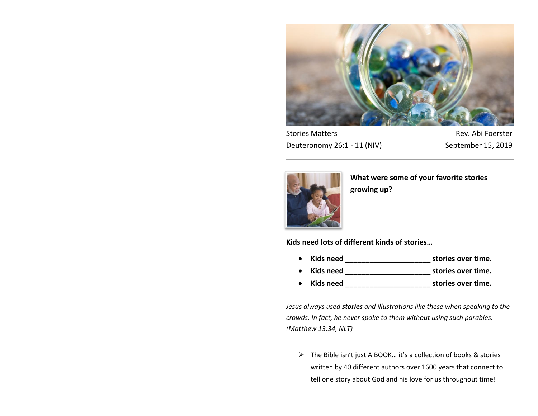

Stories Matters **Rev. Abi Foerster** Deuteronomy 26:1 - 11 (NIV) September 15, 2019



**What were some of your favorite stories growing up?**

**Kids need lots of different kinds of stories…**

- **Kids need \_\_\_\_\_\_\_\_\_\_\_\_\_\_\_\_\_\_\_\_\_ stories over time.**
- **Kids need \_\_\_\_\_\_\_\_\_\_\_\_\_\_\_\_\_\_\_\_\_ stories over time.**
- **Kids need \_\_\_\_\_\_\_\_\_\_\_\_\_\_\_\_\_\_\_\_\_ stories over time.**

*Jesus always used stories and illustrations like these when speaking to the crowds. In fact, he never spoke to them without using such parables. (Matthew 13:34, NLT)*

 $\triangleright$  The Bible isn't just A BOOK... it's a collection of books & stories written by 40 different authors over 1600 years that connect to tell one story about God and his love for us throughout time!